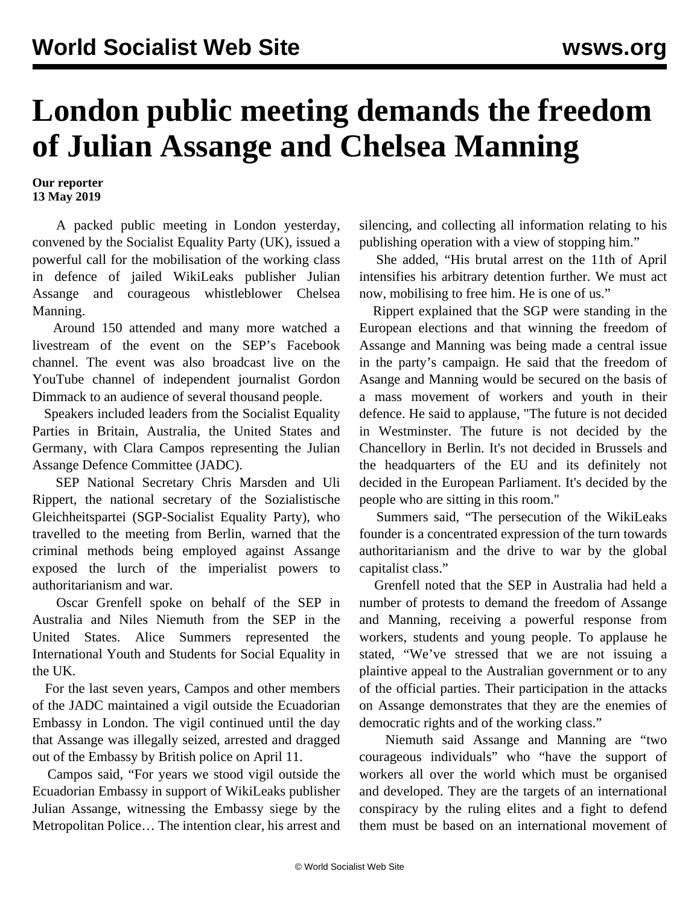## **London public meeting demands the freedom of Julian Assange and Chelsea Manning**

**Our reporter 13 May 2019**

 A packed public meeting in London yesterday, convened by the Socialist Equality Party (UK), issued a powerful call for the mobilisation of the working class in defence of jailed WikiLeaks publisher Julian Assange and courageous whistleblower Chelsea Manning.

 Around 150 attended and many more watched a livestream of the event on the SEP's Facebook channel. The event was also [broadcast](https://www.youtube.com/watch?v=Sjo3tpe3xLk) live on the YouTube channel of independent journalist Gordon Dimmack to an audience of several thousand people.

 Speakers included leaders from the Socialist Equality Parties in Britain, Australia, the United States and Germany, with Clara Campos representing the Julian Assange Defence Committee (JADC).

 SEP National Secretary Chris Marsden and Uli Rippert, the national secretary of the Sozialistische Gleichheitspartei (SGP-Socialist Equality Party), who travelled to the meeting from Berlin, warned that the criminal methods being employed against Assange exposed the lurch of the imperialist powers to authoritarianism and war.

 Oscar Grenfell spoke on behalf of the SEP in Australia and Niles Niemuth from the SEP in the United States. Alice Summers represented the International Youth and Students for Social Equality in the UK.

 For the last seven years, Campos and other members of the JADC maintained a vigil outside the Ecuadorian Embassy in London. The vigil continued until the day that Assange was illegally seized, arrested and dragged out of the Embassy by British police on April 11.

 Campos said, "For years we stood vigil outside the Ecuadorian Embassy in support of WikiLeaks publisher Julian Assange, witnessing the Embassy siege by the Metropolitan Police… The intention clear, his arrest and silencing, and collecting all information relating to his publishing operation with a view of stopping him."

 She added, "His brutal arrest on the 11th of April intensifies his arbitrary detention further. We must act now, mobilising to free him. He is one of us."

 Rippert explained that the SGP were standing in the European elections and that winning the freedom of Assange and Manning was being made a central issue in the party's campaign. He said that the freedom of Asange and Manning would be secured on the basis of a mass movement of workers and youth in their defence. He said to applause, "The future is not decided in Westminster. The future is not decided by the Chancellory in Berlin. It's not decided in Brussels and the headquarters of the EU and its definitely not decided in the European Parliament. It's decided by the people who are sitting in this room."

 Summers said, "The persecution of the WikiLeaks founder is a concentrated expression of the turn towards authoritarianism and the drive to war by the global capitalist class."

 Grenfell noted that the SEP in Australia had held a number of protests to demand the freedom of Assange and Manning, receiving a powerful response from workers, students and young people. To applause he stated, "We've stressed that we are not issuing a plaintive appeal to the Australian government or to any of the official parties. Their participation in the attacks on Assange demonstrates that they are the enemies of democratic rights and of the working class."

 Niemuth said Assange and Manning are "two courageous individuals" who "have the support of workers all over the world which must be organised and developed. They are the targets of an international conspiracy by the ruling elites and a fight to defend them must be based on an international movement of